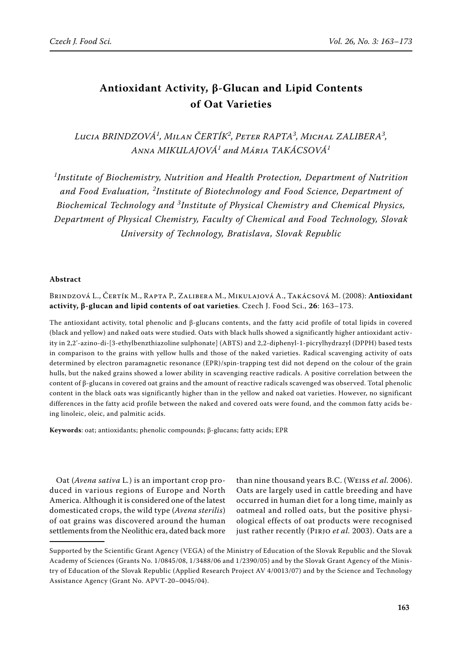# **Antioxidant Activity, β-Glucan and Lipid Contents of Oat Varieties**

*Lucia Brindzová<sup>1</sup> , Milan Čertík<sup>2</sup> , Peter RAPTA<sup>3</sup> , Michal Zalibera<sup>3</sup> , Anna Mikulajová<sup>1</sup> and Mária Takácsová<sup>1</sup>*

*1 Institute of Biochemistry, Nutrition and Health Protection, Department of Nutrition and Food Evaluation, <sup>2</sup> Institute of Biotechnology and Food Science, Department of Biochemical Technology and <sup>3</sup> Institute of Physical Chemistry and Chemical Physics, Department of Physical Chemistry, Faculty of Chemical and Food Technology, Slovak University of Technology, Bratislava, Slovak Republic*

## **Abstract**

Brindzová L., Čertík M., Rapta P., Zalibera M., Mikulajová A., Takácsová M. (2008): **Antioxidant activity, β-glucan and lipid contents of oat varieties**. Czech J. Food Sci., **26**: 163–173.

The antioxidant activity, total phenolic and β-glucans contents, and the fatty acid profile of total lipids in covered (black and yellow) and naked oats were studied. Oats with black hulls showed a significantly higher antioxidant activity in 2,2'-azino-di-[3-ethylbenzthiazoline sulphonate] (ABTS) and 2,2-diphenyl-1-picrylhydrazyl (DPPH) based tests in comparison to the grains with yellow hulls and those of the naked varieties. Radical scavenging activity of oats determined by electron paramagnetic resonance (EPR)/spin-trapping test did not depend on the colour of the grain hulls, but the naked grains showed a lower ability in scavenging reactive radicals. A positive correlation between the content of β-glucans in covered oat grains and the amount of reactive radicals scavenged was observed. Total phenolic content in the black oats was significantly higher than in the yellow and naked oat varieties. However, no significant differences in the fatty acid profile between the naked and covered oats were found, and the common fatty acids being linoleic, oleic, and palmitic acids.

**Keywords**: oat; antioxidants; phenolic compounds; β-glucans; fatty acids; EPR

Oat (*Avena sativa* L*.*) is an important crop produced in various regions of Europe and North America. Although it is considered one of the latest domesticated crops, the wild type (*Avena sterilis*) of oat grains was discovered around the human settlements from the Neolithic era, dated back more

than nine thousand years B.C. (Weiss *et al.* 2006). Oats are largely used in cattle breeding and have occurred in human diet for a long time, mainly as oatmeal and rolled oats, but the positive physiological effects of oat products were recognised just rather recently (Pirjo *et al.* 2003). Oats are a

Supported by the Scientific Grant Agency (VEGA) of the Ministry of Education of the Slovak Republic and the Slovak Academy of Sciences (Grants No. 1/0845/08, 1/3488/06 and 1/2390/05) and by the Slovak Grant Agency of the Ministry of Education of the Slovak Republic (Applied Research Project AV 4/0013/07) and by the Science and Technology Assistance Agency (Grant No. APVT-20–0045/04).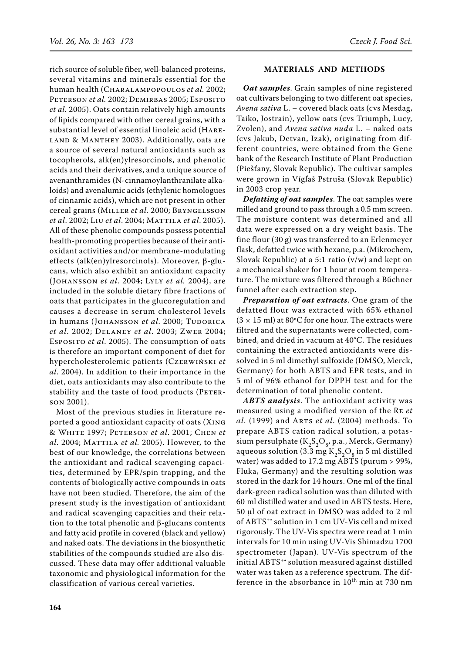rich source of soluble fiber, well-balanced proteins, several vitamins and minerals essential for the human health (Charalampopoulos *et al.* 2002; PETERSON *et al.* 2002; DEMIRBAS 2005; ESPOSITO *et al.* 2005). Oats contain relatively high amounts of lipids compared with other cereal grains, with a substantial level of essential linoleic acid (Hare-LAND & MANTHEY 2003). Additionally, oats are a source of several natural antioxidants such as tocopherols, alk(en)ylresorcinols, and phenolic acids and their derivatives, and a unique source of avenanthramides (N-cinnamoylanthranilate alkaloids) and avenalumic acids (ethylenic homologues of cinnamic acids), which are not present in other cereal grains (Miller *et al*. 2000; Bryngelsson *et al*. 2002; Liu *et al*. 2004; Mattila *et al*. 2005). All of these phenolic compounds possess potential health-promoting properties because of their antioxidant activities and/or membrane-modulating effects (alk(en)ylresorcinols). Moreover, β-glucans, which also exhibit an antioxidant capacity (Johansson *et al*. 2004; Lyly *et al.* 2004), are included in the soluble dietary fibre fractions of oats that participates in the glucoregulation and causes a decrease in serum cholesterol levels in humans (JOHANSSON et al. 2000; TUDORICA *et al*. 2002; Delaney *et al*. 2003; Zwer 2004; Esposito *et al*. 2005). The consumption of oats is therefore an important component of diet for hypercholesterolemic patients (Czerwiński *et al*. 2004). In addition to their importance in the diet, oats antioxidants may also contribute to the stability and the taste of food products (PETERson 2001).

Most of the previous studies in literature reported a good antioxidant capacity of oats (Xing & White 1997; Peterson *et al*. 2001; Chen *et al*. 2004; Mattila *et al.* 2005). However, to the best of our knowledge, the correlations between the antioxidant and radical scavenging capacities, determined by EPR/spin trapping, and the contents of biologically active compounds in oats have not been studied. Therefore, the aim of the present study is the investigation of antioxidant and radical scavenging capacities and their relation to the total phenolic and β-glucans contents and fatty acid profile in covered (black and yellow) and naked oats. The deviations in the biosynthetic stabilities of the compounds studied are also discussed. These data may offer additional valuable taxonomic and physiological information for the classification of various cereal varieties.

## **Materials and methods**

*Oat samples*. Grain samples of nine registered oat cultivars belonging to two different oat species, *Avena sativa* L. – covered black oats (cvs Mesdag, Taiko, Jostrain), yellow oats (cvs Triumph, Lucy, Zvolen), and *Avena sativa nuda* L. – naked oats (cvs Jakub, Detvan, Izak), originating from different countries, were obtained from the Gene bank of the Research Institute of Plant Production (Piešťany, Slovak Republic). The cultivar samples were grown in Vígľaš Pstruša (Slovak Republic) in 2003 crop year.

*Defatting of oat samples*. The oat samples were milled and ground to pass through a 0.5 mm screen. The moisture content was determined and all data were expressed on a dry weight basis. The fine flour (30 g) was transferred to an Erlenmeyer flask, defatted twice with hexane, p.a. (Mikrochem, Slovak Republic) at a 5:1 ratio (v/w) and kept on a mechanical shaker for 1 hour at room temperature. The mixture was filtered through a Bűchner funnel after each extraction step.

*Preparation of oat extracts*. One gram of the defatted flour was extracted with 65% ethanol  $(3 \times 15 \text{ ml})$  at 80°C for one hour. The extracts were filtred and the supernatants were collected, combined, and dried in vacuum at 40°C. The residues containing the extracted antioxidants were dissolved in 5 ml dimethyl sulfoxide (DMSO, Merck, Germany) for both ABTS and EPR tests, and in 5 ml of 96% ethanol for DPPH test and for the determination of total phenolic content.

*ABTS analysis*. The antioxidant activity was measured using a modified version of the Re *et al*. (1999) and Arts *et al*. (2004) methods. To prepare ABTS cation radical solution, a potassium persulphate  $(K_2S_2O_8, p.a., \text{Merck}, \text{Germany})$ aqueous solution (3.3 mg  $K_2S_2O_8$  in 5 ml distilled water) was added to 17.2 mg ABTS (purum > 99%, Fluka, Germany) and the resulting solution was stored in the dark for 14 hours. One ml of the final dark-green radical solution was than diluted with 60 ml distilled water and used in ABTS tests. Here, 50 µl of oat extract in DMSO was added to 2 ml of ABTS<sup>+</sup>\* solution in 1 cm UV-Vis cell and mixed rigorously. The UV-Vis spectra were read at 1 min intervals for 10 min using UV-Vis Shimadzu 1700 spectrometer (Japan). UV-Vis spectrum of the initial ABTS<sup>+</sup>\* solution measured against distilled water was taken as a reference spectrum. The difference in the absorbance in  $10^{th}$  min at 730 nm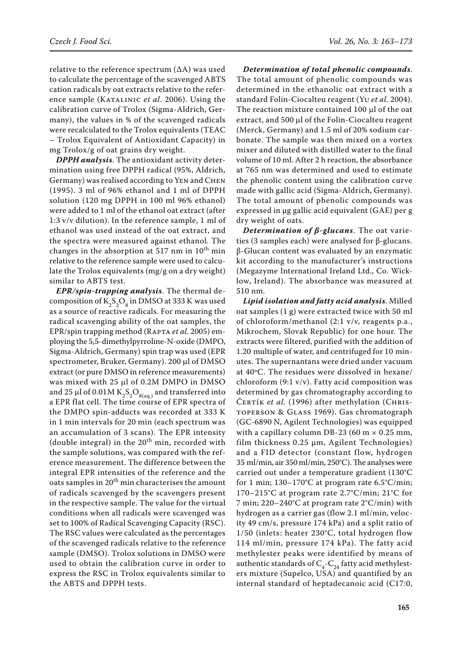relative to the reference spectrum (∆A) was used to calculate the percentage of the scavenged ABTS cation radicals by oat extracts relative to the reference sample (KATALINIC *et al.* 2006). Using the calibration curve of Trolox (Sigma-Aldrich, Germany), the values in % of the scavenged radicals were recalculated to the Trolox equivalents (TEAC – Trolox Equivalent of Antioxidant Capacity) in mg Trolox/g of oat grains dry weight.

*DPPH analysis*. The antioxidant activity determination using free DPPH radical (95%, Aldrich, Germany) was realised according to Yen and Chen (1995). 3 ml of 96% ethanol and 1 ml of DPPH solution (120 mg DPPH in 100 ml 96% ethanol) were added to 1 ml of the ethanol oat extract (after 1:3 v/v dilution). In the reference sample, 1 ml of ethanol was used instead of the oat extract, and the spectra were measured against ethanol. The changes in the absorption at 517 nm in  $10^{th}$  min relative to the reference sample were used to calculate the Trolox equivalents (mg/g on a dry weight) similar to ABTS test.

*EPR/spin-trapping analysis*. The thermal decomposition of  $K_2S_2O_8$  in DMSO at 333 K was used as a source of reactive radicals. For measuring the radical scavenging ability of the oat samples, the EPR/spin trapping method (Rapta *et al*. 2005) employing the 5,5-dimethylpyrroline-N-oxide (DMPO, Sigma-Aldrich, Germany) spin trap was used (EPR spectrometer, Bruker, Germany). 200 µl of DMSO extract (or pure DMSO in reference measurements) was mixed with 25 µl of 0.2M DMPO in DMSO and 25 µl of 0.01M  $K_2S_2O_{8(aq)}$  and transferred into a EPR flat cell. The time course of EPR spectra of the DMPO spin-adducts was recorded at 333 K in 1 min intervals for 20 min (each spectrum was an accumulation of 3 scans). The EPR intensity (double integral) in the  $20<sup>th</sup>$  min, recorded with the sample solutions, was compared with the reference measurement. The difference between the integral EPR intensities of the reference and the oats samples in 20<sup>th</sup> min characterises the amount of radicals scavenged by the scavengers present in the respective sample. The value for the virtual conditions when all radicals were scavenged was set to 100% of Radical Scavenging Capacity (RSC). The RSC values were calculated as the percentages of the scavenged radicals relative to the reference sample (DMSO). Trolox solutions in DMSO were used to obtain the calibration curve in order to express the RSC in Trolox equivalents similar to the ABTS and DPPH tests.

*Determination of total phenolic compounds*. The total amount of phenolic compounds was determined in the ethanolic oat extract with a standard Folin-Ciocalteu reagent (Yu *et al*. 2004). The reaction mixture contained 100 µl of the oat extract, and 500 µl of the Folin-Ciocalteu reagent (Merck, Germany) and 1.5 ml of 20% sodium carbonate. The sample was then mixed on a vortex mixer and diluted with distilled water to the final volume of 10 ml. After 2 h reaction, the absorbance at 765 nm was determined and used to estimate the phenolic content using the calibration curve made with gallic acid (Sigma-Aldrich, Germany). The total amount of phenolic compounds was expressed in μg gallic acid equivalent (GAE) per g dry weight of oats.

*Determination of β-glucans*. The oat varieties (3 samples each) were analysed for β-glucans. β-Glucan content was evaluated by an enzymatic kit according to the manufacturer's instructions (Megazyme International Ireland Ltd., Co. Wicklow, Ireland). The absorbance was measured at 510 nm.

*Lipid isolation and fatty acid analysis*. Milled oat samples (1 g) were extracted twice with 50 ml of chloroform/methanol (2:1 v/v, reagents p.a., Mikrochem, Slovak Republic) for one hour. The extracts were filtered, purified with the addition of 1.20 multiple of water, and centrifuged for 10 minutes. The supernantans were dried under vacuum at 40ºC. The residues were dissolved in hexane/ chloroform  $(9:1 \text{ v/v})$ . Fatty acid composition was determined by gas chromatography according to ČERTÍK *et al.* (1996) after methylation (CHRIStoperson & Glass 1969). Gas chromatograph (GC-6890 N, Agilent Technologies) was equipped with a capillary column DB-23 (60 m  $\times$  0.25 mm, film thickness 0.25 μm, Agilent Technologies) and a FID detector (constant flow, hydrogen 35 ml/min, air 350 ml/min, 250°C). The analyses were carried out under a temperature gradient (130°C for 1 min; 130–170°C at program rate 6.5°C/min; 170–215°C at program rate 2.7°C/min; 21°C for 7 min; 220–240°C at program rate 2°C/min) with hydrogen as a carrier gas (flow 2.1 ml/min, velocity 49 cm/s, pressure 174 kPa) and a split ratio of 1/50 (inlets: heater 230°C, total hydrogen flow 114 ml/min, pressure 174 kPa). The fatty acid methylester peaks were identified by means of authentic standards of  $C_4$ - $C_{24}$  fatty acid methylesters mixture (Supelco, USA) and quantified by an internal standard of heptadecanoic acid (C17:0,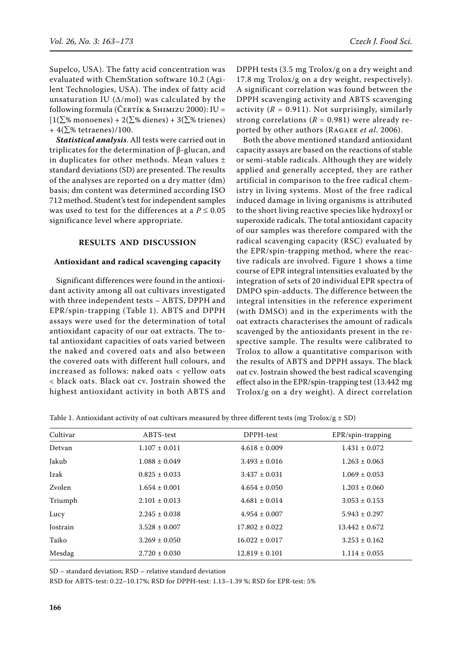Supelco, USA). The fatty acid concentration was evaluated with ChemStation software 10.2 (Agilent Technologies, USA). The index of fatty acid unsaturation IU ( $\Delta$ /mol) was calculated by the following formula (ČERTÍK & SHIMIZU 2000): IU =  $[1(\sum \%$  monoenes) + 2( $\Sigma\%$  dienes) + 3( $\Sigma\%$  trienes) +  $4(\sum$ % tetraenes)/100.

*Statistical analysis*. All tests were carried out in triplicates for the determination of β-glucan, and in duplicates for other methods. Mean values  $\pm$ standard deviations (SD) are presented. The results of the analyses are reported on a dry matter (dm) basis; dm content was determined according ISO 712 method. Student's test for independent samples was used to test for the differences at a  $P \le 0.05$ significance level where appropriate.

# **Results and discussion**

#### **Antioxidant and radical scavenging capacity**

Significant differences were found in the antioxidant activity among all oat cultivars investigated with three independent tests – ABTS, DPPH and EPR/spin-trapping (Table 1). ABTS and DPPH assays were used for the determination of total antioxidant capacity of our oat extracts. The total antioxidant capacities of oats varied between the naked and covered oats and also between the covered oats with different hull colours, and increased as follows: naked oats < yellow oats < black oats. Black oat cv. Jostrain showed the highest antioxidant activity in both ABTS and

DPPH tests (3.5 mg Trolox/g on a dry weight and 17.8 mg Trolox/g on a dry weight, respectively). A significant correlation was found between the DPPH scavenging activity and ABTS scavenging activity  $(R = 0.911)$ . Not surprisingly, similarly strong correlations  $(R = 0.981)$  were already reported by other authors (Ragaee *et al*. 2006).

Both the above mentioned standard antioxidant capacity assays are based on the reactions of stable or semi-stable radicals. Although they are widely applied and generally accepted, they are rather artificial in comparison to the free radical chemistry in living systems. Most of the free radical induced damage in living organisms is attributed to the short living reactive species like hydroxyl or superoxide radicals. The total antioxidant capacity of our samples was therefore compared with the radical scavenging capacity (RSC) evaluated by the EPR/spin-trapping method, where the reactive radicals are involved. Figure 1 shows a time course of EPR integral intensities evaluated by the integration of sets of 20 individual EPR spectra of DMPO spin-adducts. The difference between the integral intensities in the reference experiment (with DMSO) and in the experiments with the oat extracts characterises the amount of radicals scavenged by the antioxidants present in the respective sample. The results were calibrated to Trolox to allow a quantitative comparison with the results of ABTS and DPPH assays. The black oat cv. Jostrain showed the best radical scavenging effect also in the EPR/spin-trapping test (13.442 mg Trolox/g on a dry weight). A direct correlation

| Table 1. Antioxidant activity of oat cultivars measured by three different tests (mg Trolox/g $\pm$ SD) |  |  |  |
|---------------------------------------------------------------------------------------------------------|--|--|--|
|---------------------------------------------------------------------------------------------------------|--|--|--|

| Cultivar | ABTS-test         | DPPH-test          | EPR/spin-trapping  |
|----------|-------------------|--------------------|--------------------|
| Detvan   | $1.107 \pm 0.011$ | $4.618 \pm 0.009$  | $1.431 \pm 0.072$  |
| Jakub    | $1.088 \pm 0.049$ | $3.493 \pm 0.016$  | $1.263 \pm 0.063$  |
| Izak     | $0.825 \pm 0.033$ | $3.437 \pm 0.031$  | $1.069 \pm 0.053$  |
| Zvolen   | $1.654 \pm 0.001$ | $4.654 \pm 0.050$  | $1.203 \pm 0.060$  |
| Triumph  | $2.101 \pm 0.013$ | $4.681 \pm 0.014$  | $3.053 \pm 0.153$  |
| Lucy     | $2.245 \pm 0.038$ | $4.954 \pm 0.007$  | $5.943 \pm 0.297$  |
| Jostrain | $3.528 \pm 0.007$ | $17.802 \pm 0.022$ | $13.442 \pm 0.672$ |
| Taiko    | $3.269 \pm 0.050$ | $16.022 \pm 0.017$ | $3.253 \pm 0.162$  |
| Mesdag   | $2.720 \pm 0.030$ | $12.819 \pm 0.101$ | $1.114 \pm 0.055$  |

SD – standard deviation; RSD – relative standard deviation

RSD for ABTS-test: 0.22–10.17%; RSD for DPPH-test: 1.13–1.39 %; RSD for EPR-test: 5%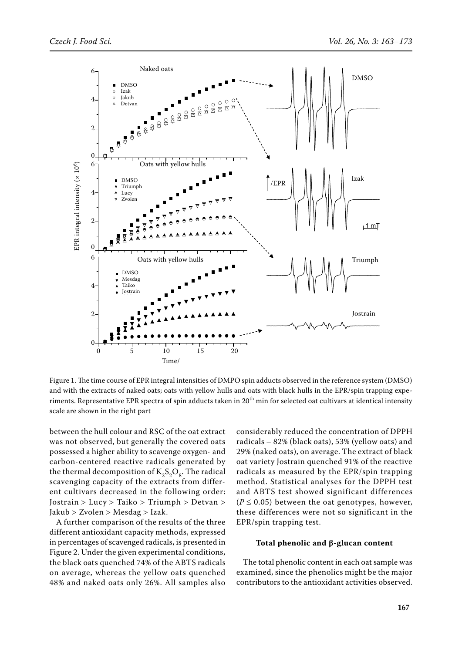

Figure 1. The time course of EPR integral intensities of DMPO spin adducts observed in the reference system (DMSO) and with the extracts of naked oats; oats with yellow hulls and oats with black hulls in the EPR/spin trapping experiments. Representative EPR spectra of spin adducts taken in  $20<sup>th</sup>$  min for selected oat cultivars at identical intensity scale are shown in the right part

between the hull colour and RSC of the oat extract was not observed, but generally the covered oats possessed a higher ability to scavenge oxygen- and carbon-centered reactive radicals generated by the thermal decomposition of  $K_2S_2O_8$ . The radical scavenging capacity of the extracts from different cultivars decreased in the following order: Jostrain > Lucy > Taiko > Triumph > Detvan > Jakub > Zvolen > Mesdag > Izak.

A further comparison of the results of the three different antioxidant capacity methods, expressed in percentages of scavenged radicals, is presented in Figure 2. Under the given experimental conditions, the black oats quenched 74% of the ABTS radicals on average, whereas the yellow oats quenched 48% and naked oats only 26%. All samples also considerably reduced the concentration of DPPH radicals – 82% (black oats), 53% (yellow oats) and 29% (naked oats), on average. The extract of black oat variety Jostrain quenched 91% of the reactive radicals as measured by the EPR/spin trapping method. Statistical analyses for the DPPH test and ABTS test showed significant differences  $(P \le 0.05)$  between the oat genotypes, however, these differences were not so significant in the EPR/spin trapping test.

#### **Total phenolic and β-glucan content**

The total phenolic content in each oat sample was examined, since the phenolics might be the major contributors to the antioxidant activities observed.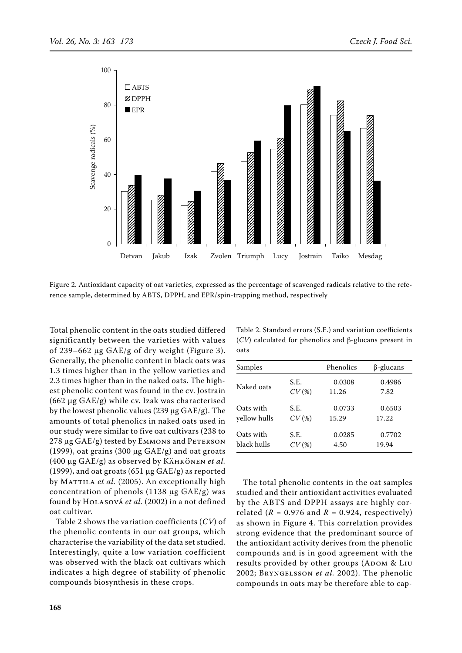

Figure 2. Antioxidant capacity of oat varieties, expressed as the percentage of scavenged radicals relative to the reference sample, determined by ABTS, DPPH, and EPR/spin-trapping method, respectively

Total phenolic content in the oats studied differed significantly between the varieties with values of 239–662 µg GAE/g of dry weight (Figure 3). Generally, the phenolic content in black oats was 1.3 times higher than in the yellow varieties and 2.3 times higher than in the naked oats. The highest phenolic content was found in the cv. Jostrain (662 µg GAE/g) while cv. Izak was characterised by the lowest phenolic values (239  $\mu$ g GAE/g). The amounts of total phenolics in naked oats used in our study were similar to five oat cultivars (238 to  $278 \mu$ g GAE/g) tested by EMMONS and PETERSON (1999), oat grains (300  $\mu$ g GAE/g) and oat groats (400 µg GAE/g) as observed by Kähkönen *et al.* (1999), and oat groats (651  $\mu$ g GAE/g) as reported by MATTILA *et al.* (2005). An exceptionally high concentration of phenols  $(1138 \mu g \text{ } GAE/g)$  was found by Holasová *et al.* (2002) in a not defined oat cultivar.

Table 2 shows the variation coefficients (*CV*) of the phenolic contents in our oat groups, which characterise the variability of the data set studied. Interestingly, quite a low variation coefficient was observed with the black oat cultivars which indicates a high degree of stability of phenolic compounds biosynthesis in these crops.

|      |  |  | Table 2. Standard errors (S.E.) and variation coefficients      |  |
|------|--|--|-----------------------------------------------------------------|--|
|      |  |  | $(CV)$ calculated for phenolics and $\beta$ -glucans present in |  |
| oats |  |  |                                                                 |  |

| Samples      |       | Phenolics | $\beta$ -glucans |
|--------------|-------|-----------|------------------|
| Naked oats   | S.E.  | 0.0308    | 0.4986           |
|              | CV(%) | 11.26     | 7.82             |
| Oats with    | S.E.  | 0.0733    | 0.6503           |
| yellow hulls | CV(%) | 15.29     | 17.22            |
| Oats with    | S.E.  | 0.0285    | 0.7702           |
| black hulls  | CV(%) | 4.50      | 19.94            |

The total phenolic contents in the oat samples studied and their antioxidant activities evaluated by the ABTS and DPPH assays are highly correlated ( $R = 0.976$  and  $R = 0.924$ , respectively) as shown in Figure 4. This correlation provides strong evidence that the predominant source of the antioxidant activity derives from the phenolic compounds and is in good agreement with the results provided by other groups (ADOM & LIU 2002; Bryngelsson *et al.* 2002). The phenolic compounds in oats may be therefore able to cap-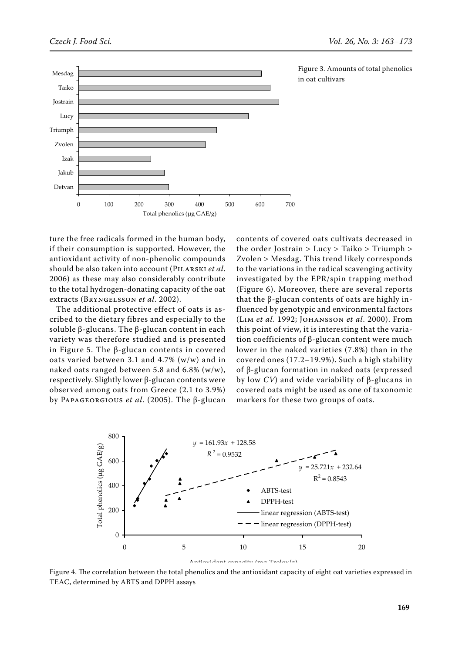

Figure 3. Amounts of total phenolics in oat cultivars

ture the free radicals formed in the human body, if their consumption is supported. However, the antioxidant activity of non-phenolic compounds should be also taken into account (Pilarski *et al*. 2006) as these may also considerably contribute to the total hydrogen-donating capacity of the oat extracts (Bryngelsson *et al*. 2002).

The additional protective effect of oats is ascribed to the dietary fibres and especially to the soluble β-glucans. The β-glucan content in each variety was therefore studied and is presented in Figure 5. The β-glucan contents in covered oats varied between 3.1 and 4.7% (w/w) and in naked oats ranged between 5.8 and 6.8% (w/w), respectively. Slightly lower β-glucan contents were observed among oats from Greece (2.1 to 3.9%) by Papageorgious *et al*. (2005). The β-glucan

contents of covered oats cultivats decreased in the order Jostrain > Lucy > Taiko > Triumph > Zvolen > Mesdag. This trend likely corresponds to the variations in the radical scavenging activity investigated by the EPR/spin trapping method (Figure 6). Moreover, there are several reports that the β-glucan contents of oats are highly influenced by genotypic and environmental factors (Lim *et al.* 1992; Johansson *et al*. 2000). From this point of view, it is interesting that the variation coefficients of β-glucan content were much lower in the naked varieties (7.8%) than in the covered ones (17.2–19.9%). Such a high stability of β-glucan formation in naked oats (expressed by low *CV*) and wide variability of β-glucans in covered oats might be used as one of taxonomic markers for these two groups of oats.



Figure 4. The correlation between the total phenolics and the antioxidant capacity of eight oat varieties expressed in TEAC, determined by ABTS and DPPH assays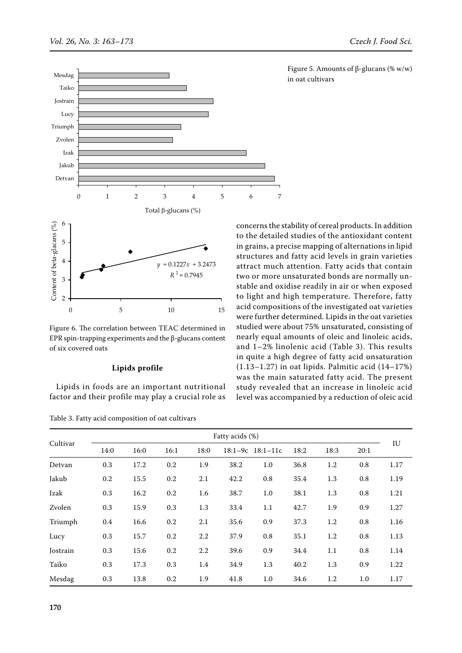



Figure 6. The correlation between TEAC determined in EPR spin-trapping experiments and the β-glucans content of six covered oats

#### **Lipids profile**

Lipids in foods are an important nutritional factor and their profile may play a crucial role as

Table 3. Fatty acid composition of oat cultivars

Figure 5. Amounts of β-glucans (% w/w) in oat cultivars

concerns the stability of cereal products. In addition to the detailed studies of the antioxidant content in grains, a precise mapping of alternations in lipid structures and fatty acid levels in grain varieties attract much attention. Fatty acids that contain two or more unsaturated bonds are normally unstable and oxidise readily in air or when exposed to light and high temperature. Therefore, fatty acid compositions of the investigated oat varieties were further determined. Lipids in the oat varieties studied were about 75% unsaturated, consisting of nearly equal amounts of oleic and linoleic acids, and 1–2% linolenic acid (Table 3). This results in quite a high degree of fatty acid unsaturation (1.13–1.27) in oat lipids. Palmitic acid (14–17%) was the main saturated fatty acid. The present study revealed that an increase in linoleic acid level was accompanied by a reduction of oleic acid

|          | Fatty acids (%) |      |      |      |      |                      |      |      |      |      |
|----------|-----------------|------|------|------|------|----------------------|------|------|------|------|
| Cultivar | 14:0            | 16:0 | 16:1 | 18:0 |      | $18:1-9c$ $18:1-11c$ | 18:2 | 18:3 | 20:1 | IU   |
| Detvan   | 0.3             | 17.2 | 0.2  | 1.9  | 38.2 | 1.0                  | 36.8 | 1.2  | 0.8  | 1.17 |
| Jakub    | 0.2             | 15.5 | 0.2  | 2.1  | 42.2 | 0.8                  | 35.4 | 1.3  | 0.8  | 1.19 |
| Izak     | 0.3             | 16.2 | 0.2  | 1.6  | 38.7 | 1.0                  | 38.1 | 1.3  | 0.8  | 1.21 |
| Zvolen   | 0.3             | 15.9 | 0.3  | 1.3  | 33.4 | 1.1                  | 42.7 | 1.9  | 0.9  | 1.27 |
| Triumph  | 0.4             | 16.6 | 0.2  | 2.1  | 35.6 | 0.9                  | 37.3 | 1.2  | 0.8  | 1.16 |
| Lucy     | 0.3             | 15.7 | 0.2  | 2.2  | 37.9 | 0.8                  | 35.1 | 1.2  | 0.8  | 1.13 |
| Jostrain | 0.3             | 15.6 | 0.2  | 2.2  | 39.6 | 0.9                  | 34.4 | 1.1  | 0.8  | 1.14 |
| Taiko    | 0.3             | 17.3 | 0.3  | 1.4  | 34.9 | 1.3                  | 40.2 | 1.3  | 0.9  | 1.22 |
| Mesdag   | 0.3             | 13.8 | 0.2  | 1.9  | 41.8 | $1.0\,$              | 34.6 | 1.2  | 1.0  | 1.17 |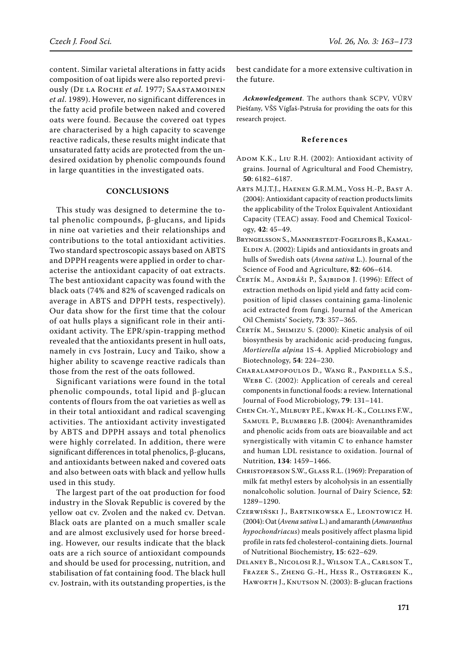content. Similar varietal alterations in fatty acids composition of oat lipids were also reported previously (De la Roche *et al.* 1977; Saastamoinen *et al*. 1989). However, no significant differences in the fatty acid profile between naked and covered oats were found. Because the covered oat types are characterised by a high capacity to scavenge reactive radicals, these results might indicate that unsaturated fatty acids are protected from the undesired oxidation by phenolic compounds found in large quantities in the investigated oats.

# **Conclusions**

This study was designed to determine the total phenolic compounds, β-glucans, and lipids in nine oat varieties and their relationships and contributions to the total antioxidant activities. Two standard spectroscopic assays based on ABTS and DPPH reagents were applied in order to characterise the antioxidant capacity of oat extracts. The best antioxidant capacity was found with the black oats (74% and 82% of scavenged radicals on average in ABTS and DPPH tests, respectively). Our data show for the first time that the colour of oat hulls plays a significant role in their antioxidant activity. The EPR/spin-trapping method revealed that the antioxidants present in hull oats, namely in cvs Jostrain, Lucy and Taiko, show a higher ability to scavenge reactive radicals than those from the rest of the oats followed.

Significant variations were found in the total phenolic compounds, total lipid and β-glucan contents of flours from the oat varieties as well as in their total antioxidant and radical scavenging activities. The antioxidant activity investigated by ABTS and DPPH assays and total phenolics were highly correlated. In addition, there were significant differences in total phenolics, β-glucans, and antioxidants between naked and covered oats and also between oats with black and yellow hulls used in this study.

The largest part of the oat production for food industry in the Slovak Republic is covered by the yellow oat cv. Zvolen and the naked cv. Detvan. Black oats are planted on a much smaller scale and are almost exclusively used for horse breeding. However, our results indicate that the black oats are a rich source of antioxidant compounds and should be used for processing, nutrition, and stabilisation of fat containing food. The black hull cv. Jostrain, with its outstanding properties, is the best candidate for a more extensive cultivation in the future.

*Acknowledgement*. The authors thank SCPV, VÚRV Piešťany, VŠS Vígľaš-Pstruša for providing the oats for this research project.

# **Re f e r e n c e s**

- ADOM K.K., LIU R.H. (2002): Antioxidant activity of grains. Journal of Agricultural and Food Chemistry, **50**: 6182–6187.
- Arts M.J.T.J., Haenen G.R.M.M., Voss H.-P., Bast A. (2004): Antioxidant capacity of reaction products limits the applicability of the Trolox Equivalent Antioxidant Capacity (TEAC) assay. Food and Chemical Toxicology, **42**: 45–49.
- Bryngelsson S., Mannerstedt-Fogelfors B., Kamal-ELDIN A. (2002): Lipids and antioxidants in groats and hulls of Swedish oats (*Avena sativa* L.). Journal of the Science of Food and Agriculture, **82**: 606–614.
- Čertík M., Andráši P., Šajbidor J. (1996): Effect of extraction methods on lipid yield and fatty acid composition of lipid classes containing gama-linolenic acid extracted from fungi. Journal of the American Oil Chemists' Society, **73**: 357–365.
- Čertík M., Shimizu S. (2000): Kinetic analysis of oil biosynthesis by arachidonic acid-producing fungus, *Mortierella alpina* 1S-4. Applied Microbiology and Biotechnology, **54**: 224–230.
- Charalampopoulos D., Wang R., Pandiella S.S., Webb C. (2002): Application of cereals and cereal components in functional foods: a review. International Journal of Food Microbiology, **79**: 131–141.
- Chen Ch.-Y., Milbury P.E., Kwak H.-K., Collins F.W., Samuel P., Blumberg J.B. (2004): Avenanthramides and phenolic acids from oats are bioavailable and act synergistically with vitamin C to enhance hamster and human LDL resistance to oxidation. Journal of Nutrition, **134**: 1459–1466.
- Christoperson S.W., Glass R.L. (1969): Preparation of milk fat methyl esters by alcoholysis in an essentially nonalcoholic solution. Journal of Dairy Science, **52**: 1289–1290.
- Czerwiński J., Bartnikowska E., Leontowicz H. (2004): Oat (*Avena sativa* L.) and amaranth (*Amaranthus hypochondriacus*) meals positively affect plasma lipid profile in rats fed cholesterol-containing diets. Journal of Nutritional Biochemistry, **15**: 622–629.
- Delaney B., Nicolosi R.J., Wilson T.A., Carlson T., Frazer S., Zheng G.-H., Hess R., Ostergren K., Haworth J., Knutson N. (2003): Β-glucan fractions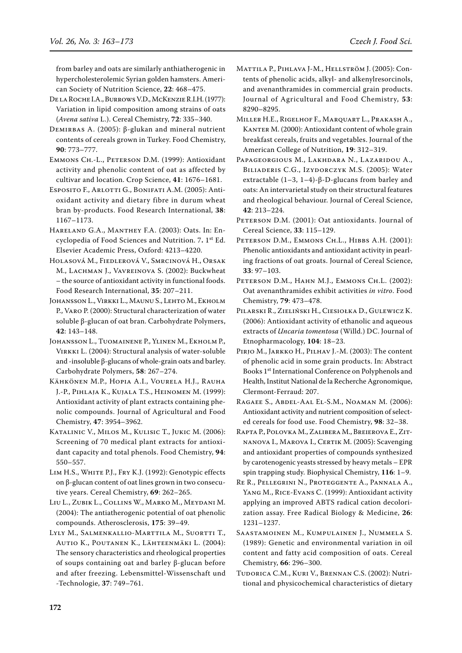from barley and oats are similarly anthiatherogenic in hypercholesterolemic Syrian golden hamsters. American Society of Nutrition Science, **22**: 468–475.

De la Roche I.A., Burrows V.D., McKenzie R.I.H. (1977): Variation in lipid composition among strains of oats (*Avena sativa* L.). Cereal Chemistry, **72**: 335–340.

Demirbas A. (2005): β-glukan and mineral nutrient contents of cereals grown in Turkey. Food Chemistry, **90**: 773–777.

Emmons Ch.-L., Peterson D.M. (1999): Antioxidant activity and phenolic content of oat as affected by cultivar and location. Crop Science, **41**: 1676–1681.

ESPOSITO F., ARLOTTI G., BONIFATI A.M. (2005): Antioxidant activity and dietary fibre in durum wheat bran by-products. Food Research International, **38**: 1167–1173.

- Hareland G.A., Manthey F.A. (2003): Oats. In: Encyclopedia of Food Sciences and Nutrition. 7**.** 1st Ed. Elsevier Academic Press, Oxford: 4213–4220.
- Holasová M., Fiedlerová V., Smrcinová H., Orsak M., Lachman J., Vavreinova S. (2002): Buckwheat – the source of antioxidant activity in functional foods. Food Research International, **35**: 207–211.

Johansson L., Virkki L., Maunu S., Lehto M., Ekholm P., Varo P. (2000): Structural characterization of water soluble β-glucan of oat bran. Carbohydrate Polymers, **42**: 143–148.

Johansson L., Tuomainene P., Ylinen M., Ekholm P., Virkki L. (2004): Structural analysis of water-soluble and -insoluble β-glucans of whole-grain oats and barley. Carbohydrate Polymers, **58**: 267–274.

Kähkönen M.P., Hopia A.I., Vourela H.J., Rauha J.-P., Pihlaja K., Kujala T.S., Heinomen M. (1999): Antioxidant activity of plant extracts containing phenolic compounds. Journal of Agricultural and Food Chemistry, **47**: 3954–3962.

Katalinic V., Milos M., Kulisic T., Jukic M. (2006): Screening of 70 medical plant extracts for antioxidant capacity and total phenols. Food Chemistry, **94**: 550–557.

Lim H.S., White P.J., Fry K.J. (1992): Genotypic effects on β-glucan content of oat lines grown in two consecutive years. Cereal Chemistry, **69**: 262–265.

Liu L., Zubik L., Collins W., Marko M., Meydani M. (2004): The antiatherogenic potential of oat phenolic compounds. Atherosclerosis, **175**: 39–49.

Lyly M., Salmenkallio-Marttila M., Suortti T., Autio K., Poutanen K., Lähteenmäki L. (2004): The sensory characteristics and rheological properties of soups containing oat and barley β-glucan before and after freezing. Lebensmittel-Wissenschaft und -Technologie, **37**: 749–761.

Mattila P., Pihlava J-M., Hellström J. (2005): Contents of phenolic acids, alkyl- and alkenylresorcinols, and avenanthramides in commercial grain products. Journal of Agricultural and Food Chemistry, **53**: 8290–8295.

Miller H.E., Rigelhof F., Marquart L., Prakash A., KANTER M. (2000): Antioxidant content of whole grain breakfast cereals, fruits and vegetables. Journal of the American College of Nutrition, **19**: 312–319.

Papageorgious M., Lakhdara N., Lazaridou A., Biliaderis C.G., Izydorczyk M.S. (2005): Water extractable  $(1-3, 1-4)$ -β-D-glucans from barley and oats: An intervarietal study on their structural features and rheological behaviour. Journal of Cereal Science, **42**: 213–224.

PETERSON D.M. (2001): Oat antioxidants. Journal of Cereal Science, **33**: 115–129.

PETERSON D.M., EMMONS CH.L., HIBBS A.H. (2001): Phenolic antioxidants and antioxidant activity in pearling fractions of oat groats. Journal of Cereal Science, **33**: 97–103.

PETERSON D.M., HAHN M.J., EMMONS CH.L. (2002): Oat avenanthramides exhibit activities *in vitro*. Food Chemistry, **79**: 473–478.

Pilarski R., Zieliński H., Ciesiołka D., Gulewicz K. (2006): Antioxidant activity of ethanolic and aqueous extracts of *Uncaria tomentosa* (Willd.) DC. Journal of Etnopharmacology, **104**: 18–23.

PIRJO M., JARKKO H., PILHAV J.-M. (2003): The content of phenolic acid in some grain products. In: Abstract Books 1st International Conference on Polyphenols and Health, Institut National de la Recherche Agronomique, Clermont-Ferraud: 207.

Ragaee S., Abdel-Aal El-S.M., Noaman M. (2006): Antioxidant activity and nutrient composition of selected cereals for food use. Food Chemistry, **98**: 32–38.

Rapta P., Polovka M., Zalibera M., Breierova E., Zitnanova I., Marova I., Certik M. (2005): Scavenging and antioxidant properties of compounds synthesized by carotenogenic yeasts stressed by heavy metals – EPR spin trapping study. Biophysical Chemistry, **116**: 1–9.

- Re R., Pellegrini N., Proteggente A., Pannala A., Yang M., Rice-Evans C. (1999): Antioxidant activity applying an improved ABTS radical cation decolorization assay. Free Radical Biology & Medicine, **26**: 1231–1237.
- Saastamoinen M., Kumpulainen J., Nummela S. (1989): Genetic and environmental variation in oil content and fatty acid composition of oats. Cereal Chemistry, **66**: 296–300.
- Tudorica C.M., Kuri V., Brennan C.S. (2002): Nutritional and physicochemical characteristics of dietary